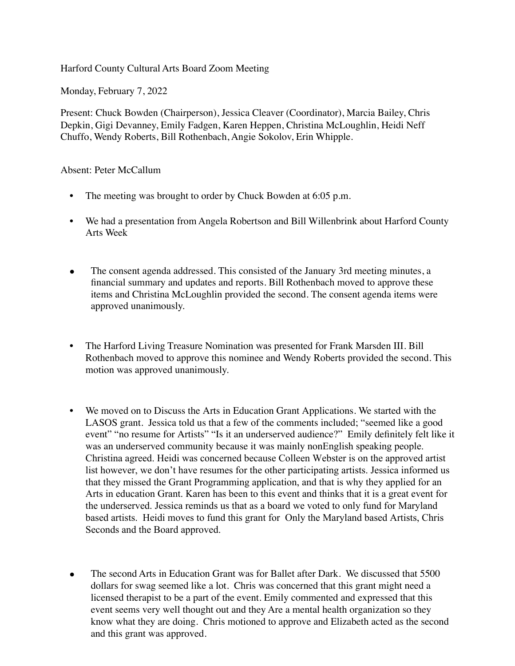Harford County Cultural Arts Board Zoom Meeting

Monday, February 7, 2022

Present: Chuck Bowden (Chairperson), Jessica Cleaver (Coordinator), Marcia Bailey, Chris Depkin, Gigi Devanney, Emily Fadgen, Karen Heppen, Christina McLoughlin, Heidi Neff Chuffo, Wendy Roberts, Bill Rothenbach, Angie Sokolov, Erin Whipple.

Absent: Peter McCallum

- The meeting was brought to order by Chuck Bowden at 6:05 p.m.
- We had a presentation from Angela Robertson and Bill Willenbrink about Harford County Arts Week
- The consent agenda addressed. This consisted of the January 3rd meeting minutes, a financial summary and updates and reports. Bill Rothenbach moved to approve these items and Christina McLoughlin provided the second. The consent agenda items were approved unanimously.
- The Harford Living Treasure Nomination was presented for Frank Marsden III. Bill Rothenbach moved to approve this nominee and Wendy Roberts provided the second. This motion was approved unanimously.
- We moved on to Discuss the Arts in Education Grant Applications. We started with the LASOS grant. Jessica told us that a few of the comments included; "seemed like a good event" "no resume for Artists" "Is it an underserved audience?" Emily definitely felt like it was an underserved community because it was mainly nonEnglish speaking people. Christina agreed. Heidi was concerned because Colleen Webster is on the approved artist list however, we don't have resumes for the other participating artists. Jessica informed us that they missed the Grant Programming application, and that is why they applied for an Arts in education Grant. Karen has been to this event and thinks that it is a great event for the underserved. Jessica reminds us that as a board we voted to only fund for Maryland based artists. Heidi moves to fund this grant for Only the Maryland based Artists, Chris Seconds and the Board approved.
- The second Arts in Education Grant was for Ballet after Dark. We discussed that 5500 dollars for swag seemed like a lot. Chris was concerned that this grant might need a licensed therapist to be a part of the event. Emily commented and expressed that this event seems very well thought out and they Are a mental health organization so they know what they are doing. Chris motioned to approve and Elizabeth acted as the second and this grant was approved.